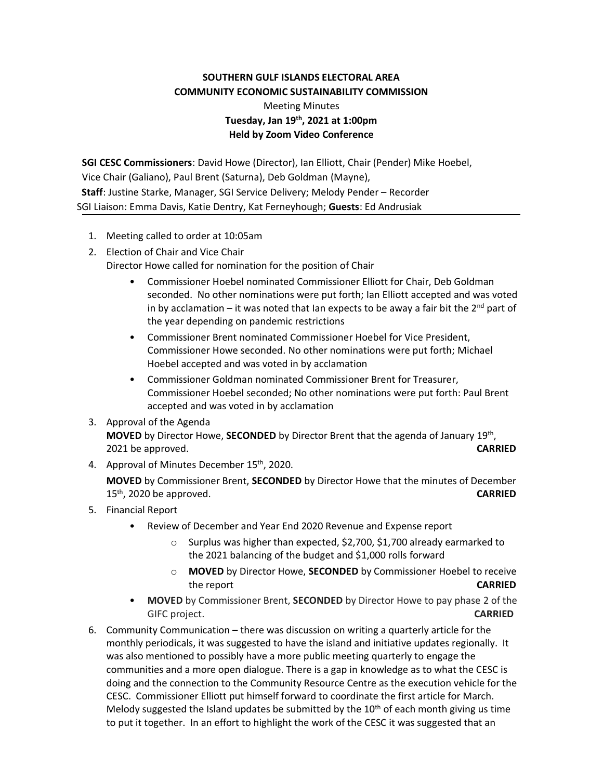## **SOUTHERN GULF ISLANDS ELECTORAL AREA COMMUNITY ECONOMIC SUSTAINABILITY COMMISSION**

## Meeting Minutes **Tuesday, Jan 19 th, 2021 at 1:00pm Held by Zoom Video Conference**

**SGI CESC Commissioners**: David Howe (Director), Ian Elliott, Chair (Pender) Mike Hoebel, Vice Chair (Galiano), Paul Brent (Saturna), Deb Goldman (Mayne),  **Staff**: Justine Starke, Manager, SGI Service Delivery; Melody Pender – Recorder SGI Liaison: Emma Davis, Katie Dentry, Kat Ferneyhough; **Guests**: Ed Andrusiak

- 1. Meeting called to order at 10:05am
- 2. Election of Chair and Vice Chair

Director Howe called for nomination for the position of Chair

- Commissioner Hoebel nominated Commissioner Elliott for Chair, Deb Goldman seconded. No other nominations were put forth; Ian Elliott accepted and was voted in by acclamation – it was noted that Ian expects to be away a fair bit the  $2^{nd}$  part of the year depending on pandemic restrictions
- Commissioner Brent nominated Commissioner Hoebel for Vice President, Commissioner Howe seconded. No other nominations were put forth; Michael Hoebel accepted and was voted in by acclamation
- Commissioner Goldman nominated Commissioner Brent for Treasurer, Commissioner Hoebel seconded; No other nominations were put forth: Paul Brent accepted and was voted in by acclamation
- 3. Approval of the Agenda **MOVED** by Director Howe, **SECONDED** by Director Brent that the agenda of January 19th , 2021 be approved. **CARRIED**
- 4. Approval of Minutes December 15<sup>th</sup>, 2020.

**MOVED** by Commissioner Brent, **SECONDED** by Director Howe that the minutes of December 15th, 2020 be approved. **CARRIED**

- 5. Financial Report
	- Review of December and Year End 2020 Revenue and Expense report
		- o Surplus was higher than expected, \$2,700, \$1,700 already earmarked to the 2021 balancing of the budget and \$1,000 rolls forward
		- o **MOVED** by Director Howe, **SECONDED** by Commissioner Hoebel to receive the report **CARRIED**
	- **MOVED** by Commissioner Brent, **SECONDED** by Director Howe to pay phase 2 of the GIFC project. **CARRIED**
- 6. Community Communication there was discussion on writing a quarterly article for the monthly periodicals, it was suggested to have the island and initiative updates regionally. It was also mentioned to possibly have a more public meeting quarterly to engage the communities and a more open dialogue. There is a gap in knowledge as to what the CESC is doing and the connection to the Community Resource Centre as the execution vehicle for the CESC. Commissioner Elliott put himself forward to coordinate the first article for March. Melody suggested the Island updates be submitted by the  $10<sup>th</sup>$  of each month giving us time to put it together. In an effort to highlight the work of the CESC it was suggested that an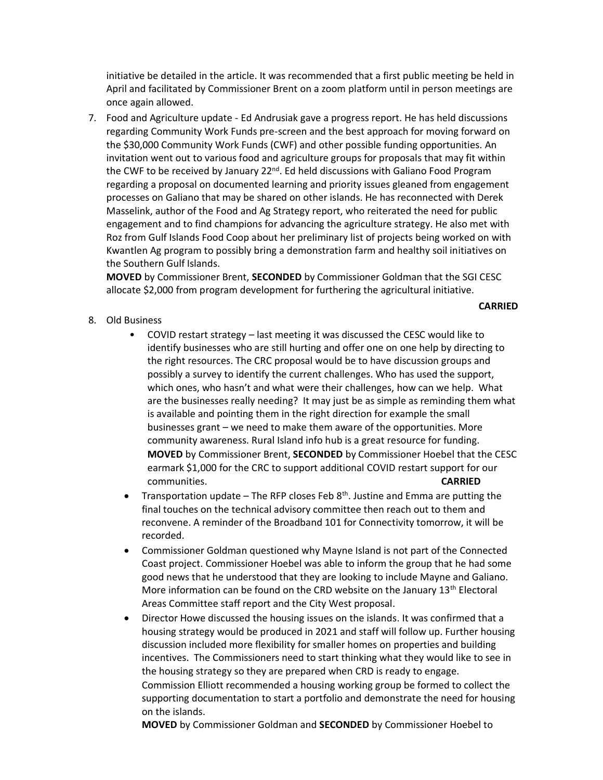initiative be detailed in the article. It was recommended that a first public meeting be held in April and facilitated by Commissioner Brent on a zoom platform until in person meetings are once again allowed.

7. Food and Agriculture update - Ed Andrusiak gave a progress report. He has held discussions regarding Community Work Funds pre-screen and the best approach for moving forward on the \$30,000 Community Work Funds (CWF) and other possible funding opportunities. An invitation went out to various food and agriculture groups for proposals that may fit within the CWF to be received by January  $22^{nd}$ . Ed held discussions with Galiano Food Program regarding a proposal on documented learning and priority issues gleaned from engagement processes on Galiano that may be shared on other islands. He has reconnected with Derek Masselink, author of the Food and Ag Strategy report, who reiterated the need for public engagement and to find champions for advancing the agriculture strategy. He also met with Roz from Gulf Islands Food Coop about her preliminary list of projects being worked on with Kwantlen Ag program to possibly bring a demonstration farm and healthy soil initiatives on the Southern Gulf Islands.

**MOVED** by Commissioner Brent, **SECONDED** by Commissioner Goldman that the SGI CESC allocate \$2,000 from program development for furthering the agricultural initiative.

## 8. Old Business

• COVID restart strategy – last meeting it was discussed the CESC would like to identify businesses who are still hurting and offer one on one help by directing to the right resources. The CRC proposal would be to have discussion groups and possibly a survey to identify the current challenges. Who has used the support, which ones, who hasn't and what were their challenges, how can we help. What are the businesses really needing? It may just be as simple as reminding them what is available and pointing them in the right direction for example the small businesses grant – we need to make them aware of the opportunities. More community awareness. Rural Island info hub is a great resource for funding. **MOVED** by Commissioner Brent, **SECONDED** by Commissioner Hoebel that the CESC earmark \$1,000 for the CRC to support additional COVID restart support for our communities. **CARRIED**

**CARRIED**

- Transportation update The RFP closes Feb  $8<sup>th</sup>$ . Justine and Emma are putting the final touches on the technical advisory committee then reach out to them and reconvene. A reminder of the Broadband 101 for Connectivity tomorrow, it will be recorded.
- Commissioner Goldman questioned why Mayne Island is not part of the Connected Coast project. Commissioner Hoebel was able to inform the group that he had some good news that he understood that they are looking to include Mayne and Galiano. More information can be found on the CRD website on the January 13<sup>th</sup> Electoral Areas Committee staff report and the City West proposal.
- Director Howe discussed the housing issues on the islands. It was confirmed that a housing strategy would be produced in 2021 and staff will follow up. Further housing discussion included more flexibility for smaller homes on properties and building incentives. The Commissioners need to start thinking what they would like to see in the housing strategy so they are prepared when CRD is ready to engage. Commission Elliott recommended a housing working group be formed to collect the supporting documentation to start a portfolio and demonstrate the need for housing on the islands.

**MOVED** by Commissioner Goldman and **SECONDED** by Commissioner Hoebel to